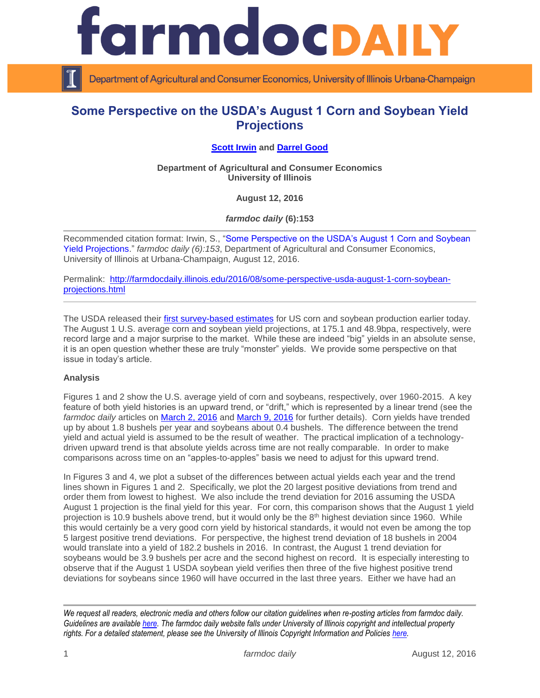

Department of Agricultural and Consumer Economics, University of Illinois Urbana-Champaign

## **Some Perspective on the USDA's August 1 Corn and Soybean Yield Projections**

## **[Scott Irwin](http://farmdoc.illinois.edu/irwin) and [Darrel Good](http://farmdoc.illinois.edu/good)**

**Department of Agricultural and Consumer Economics University of Illinois**

**August 12, 2016**

*farmdoc daily* **(6):153**

Recommended citation format: Irwin, S., ["Some Perspective on the USDA's August 1 Corn and Soybean](http://farmdocdaily.illinois.edu/2016/08/some-perspective-usda-august-1-corn-soybean-projections.html)  [Yield Projections.](http://farmdocdaily.illinois.edu/2016/08/some-perspective-usda-august-1-corn-soybean-projections.html)" *farmdoc daily (6):153*, Department of Agricultural and Consumer Economics, University of Illinois at Urbana-Champaign, August 12, 2016.

Permalink: [http://farmdocdaily.illinois.edu/2016/08/some-perspective-usda-august-1-corn-soybean](http://farmdocdaily.illinois.edu/2016/08/some-perspective-usda-august-1-corn-soybean-projections.html)[projections.html](http://farmdocdaily.illinois.edu/2016/08/some-perspective-usda-august-1-corn-soybean-projections.html)

The USDA released their [first survey-based estimates](http://usda.mannlib.cornell.edu/usda/nass/CropProd/2010s/2016/CropProd-08-12-2016.pdf) for US corn and soybean production earlier today. The August 1 U.S. average corn and soybean yield projections, at 175.1 and 48.9bpa, respectively, were record large and a major surprise to the market. While these are indeed "big" yields in an absolute sense, it is an open question whether these are truly "monster" yields. We provide some perspective on that issue in today's article.

## **Analysis**

Figures 1 and 2 show the U.S. average yield of corn and soybeans, respectively, over 1960-2015. A key feature of both yield histories is an upward trend, or "drift," which is represented by a linear trend (see the *farmdoc daily* articles on **March 2, 2016** and [March 9, 2016](http://farmdocdaily.illinois.edu/2016/03/expectations-for-2016-us-average-soybean-yield.html) for further details). Corn yields have trended up by about 1.8 bushels per year and soybeans about 0.4 bushels. The difference between the trend yield and actual yield is assumed to be the result of weather. The practical implication of a technologydriven upward trend is that absolute yields across time are not really comparable. In order to make comparisons across time on an "apples-to-apples" basis we need to adjust for this upward trend.

In Figures 3 and 4, we plot a subset of the differences between actual yields each year and the trend lines shown in Figures 1 and 2. Specifically, we plot the 20 largest positive deviations from trend and order them from lowest to highest. We also include the trend deviation for 2016 assuming the USDA August 1 projection is the final yield for this year. For corn, this comparison shows that the August 1 yield projection is 10.9 bushels above trend, but it would only be the 8<sup>th</sup> highest deviation since 1960. While this would certainly be a very good corn yield by historical standards, it would not even be among the top 5 largest positive trend deviations. For perspective, the highest trend deviation of 18 bushels in 2004 would translate into a yield of 182.2 bushels in 2016. In contrast, the August 1 trend deviation for soybeans would be 3.9 bushels per acre and the second highest on record. It is especially interesting to observe that if the August 1 USDA soybean yield verifies then three of the five highest positive trend deviations for soybeans since 1960 will have occurred in the last three years. Either we have had an

*We request all readers, electronic media and others follow our citation guidelines when re-posting articles from farmdoc daily. Guidelines are available [here.](http://farmdocdaily.illinois.edu/citationguide.html) The farmdoc daily website falls under University of Illinois copyright and intellectual property rights. For a detailed statement, please see the University of Illinois Copyright Information and Policies [here.](http://www.cio.illinois.edu/policies/copyright/)*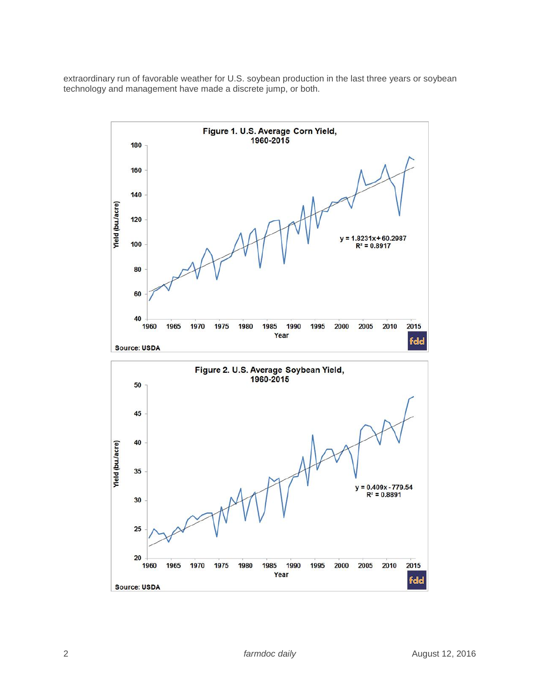extraordinary run of favorable weather for U.S. soybean production in the last three years or soybean technology and management have made a discrete jump, or both.

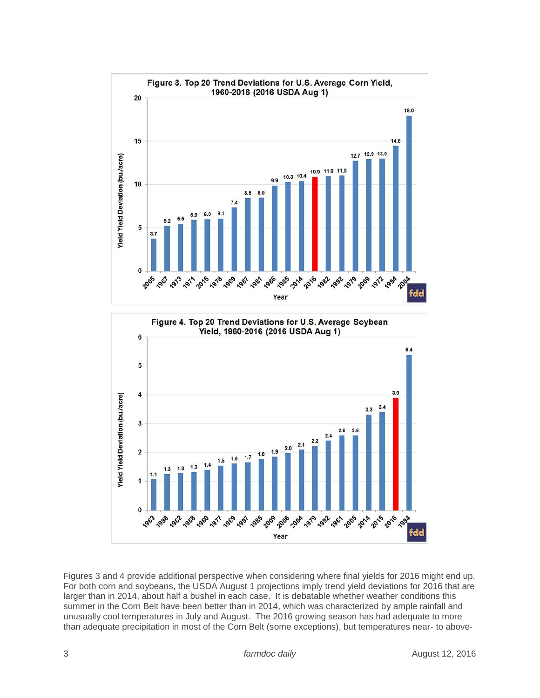

Figures 3 and 4 provide additional perspective when considering where final yields for 2016 might end up. For both corn and soybeans, the USDA August 1 projections imply trend yield deviations for 2016 that are larger than in 2014, about half a bushel in each case. It is debatable whether weather conditions this summer in the Corn Belt have been better than in 2014, which was characterized by ample rainfall and unusually cool temperatures in July and August. The 2016 growing season has had adequate to more than adequate precipitation in most of the Corn Belt (some exceptions), but temperatures near- to above